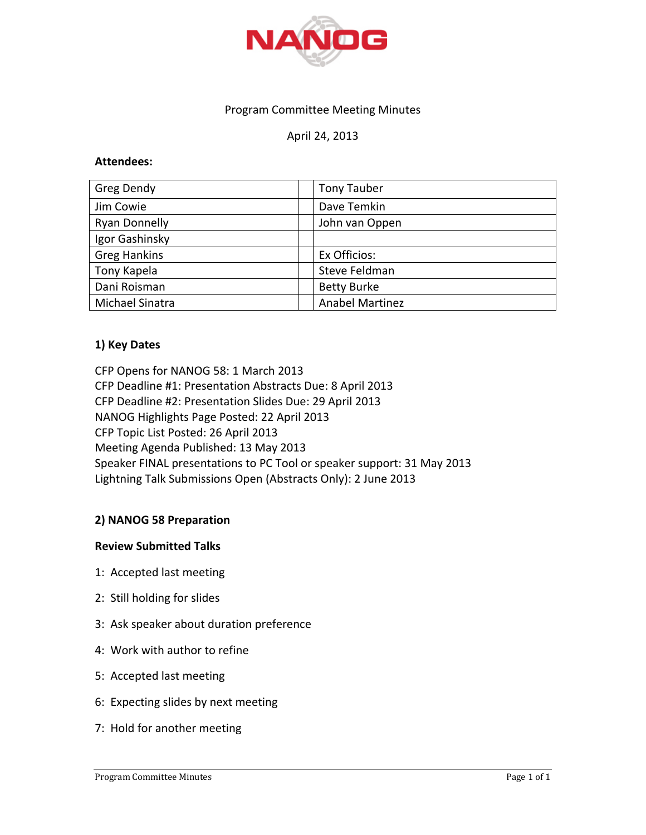

# Program Committee Meeting Minutes

# April 24, 2013

### **Attendees:**

| Greg Dendy           | <b>Tony Tauber</b>     |
|----------------------|------------------------|
| Jim Cowie            | Dave Temkin            |
| <b>Ryan Donnelly</b> | John van Oppen         |
| Igor Gashinsky       |                        |
| <b>Greg Hankins</b>  | Ex Officios:           |
| Tony Kapela          | Steve Feldman          |
| Dani Roisman         | <b>Betty Burke</b>     |
| Michael Sinatra      | <b>Anabel Martinez</b> |

# **1) Key Dates**

CFP Opens for NANOG 58: 1 March 2013 CFP Deadline #1: Presentation Abstracts Due: 8 April 2013 CFP Deadline #2: Presentation Slides Due: 29 April 2013 NANOG Highlights Page Posted: 22 April 2013 CFP Topic List Posted: 26 April 2013 Meeting Agenda Published: 13 May 2013 Speaker FINAL presentations to PC Tool or speaker support: 31 May 2013 Lightning Talk Submissions Open (Abstracts Only): 2 June 2013

# **2) NANOG 58 Preparation**

### **Review Submitted Talks**

- 1: Accepted last meeting
- 2: Still holding for slides
- 3: Ask speaker about duration preference
- 4: Work with author to refine
- 5: Accepted last meeting
- 6: Expecting slides by next meeting
- 7: Hold for another meeting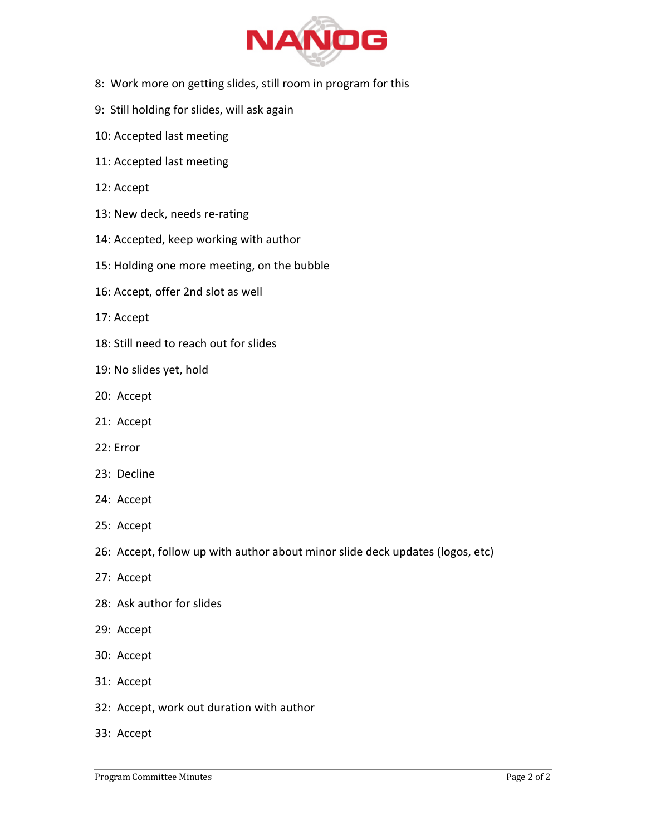

- 8: Work more on getting slides, still room in program for this
- 9: Still holding for slides, will ask again
- 10: Accepted last meeting
- 11: Accepted last meeting
- 12: Accept
- 13: New deck, needs re-rating
- 14: Accepted, keep working with author
- 15: Holding one more meeting, on the bubble
- 16: Accept, offer 2nd slot as well
- 17: Accept
- 18: Still need to reach out for slides
- 19: No slides yet, hold
- 20: Accept
- 21: Accept
- 22: Error
- 23: Decline
- 24: Accept
- 25: Accept
- 26: Accept, follow up with author about minor slide deck updates (logos, etc)
- 27: Accept
- 28: Ask author for slides
- 29: Accept
- 30: Accept
- 31: Accept
- 32: Accept, work out duration with author
- 33: Accept